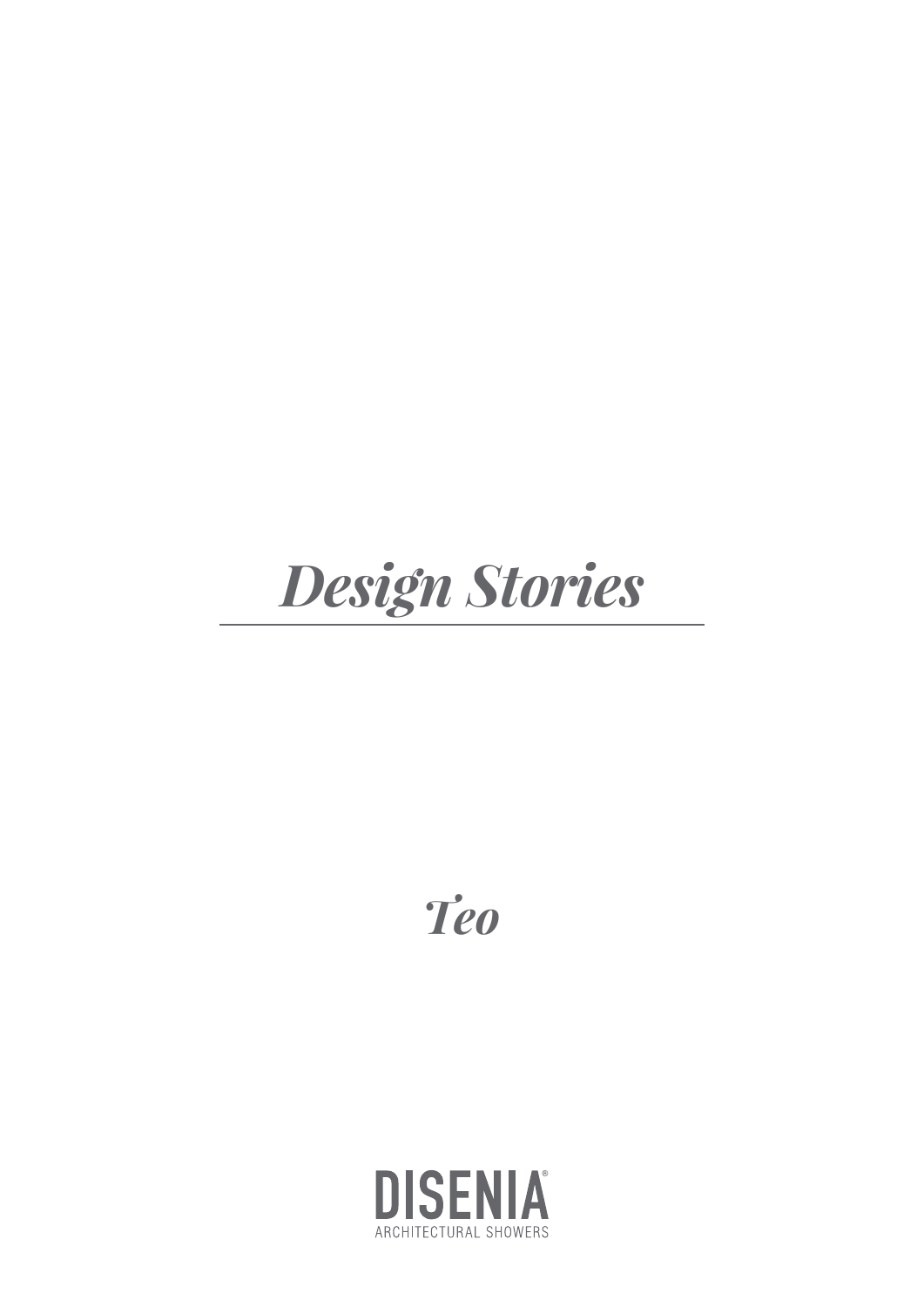# **Design Stories**

**Teo** 

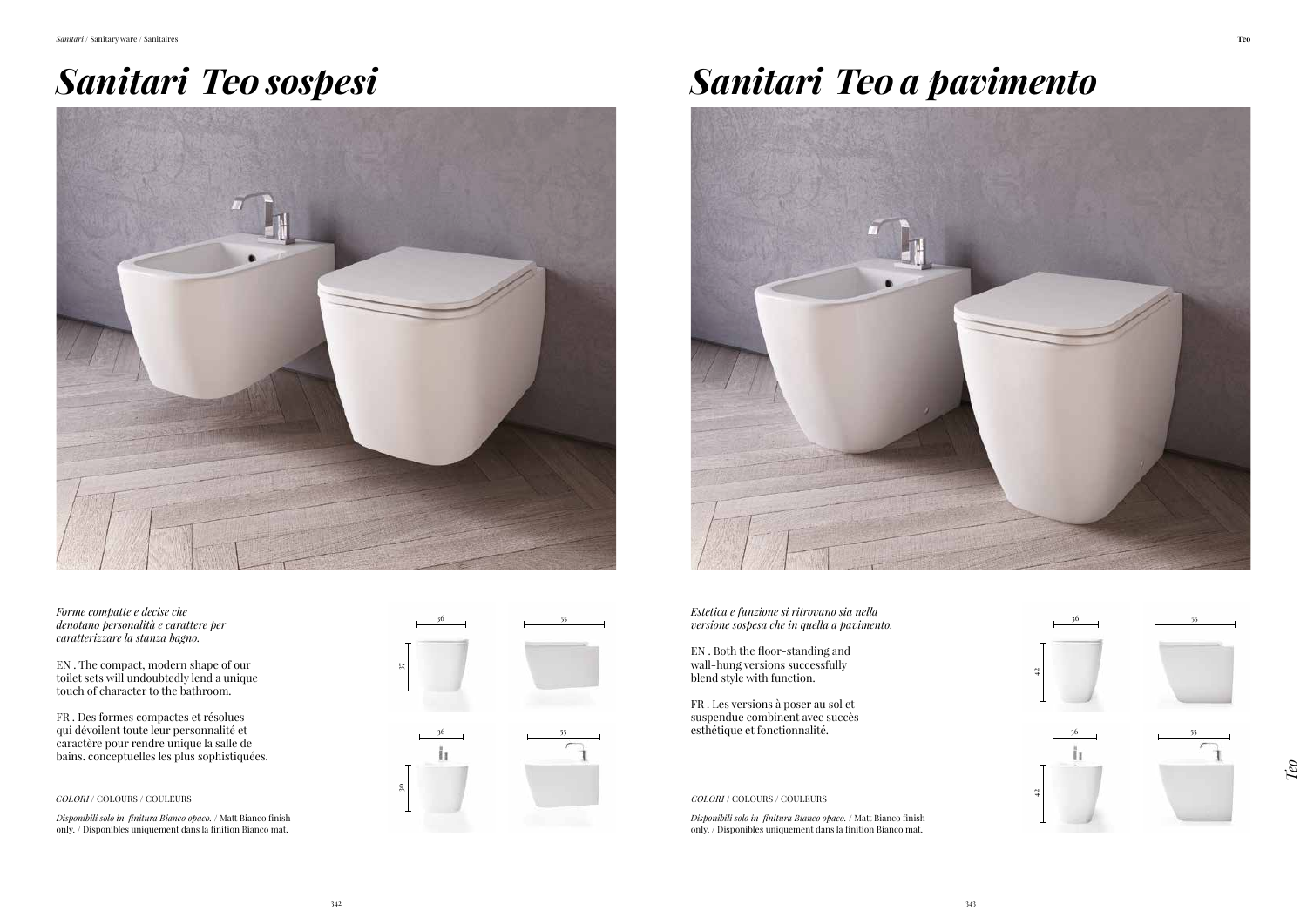*Estetica e funzione si ritrovano sia nella* 

EN . Both the floor-standing and wall-hung versions successfully blend style with function.

FR . Les versions à poser au sol et suspendue combinent avec succès





*Disponibili solo in finitura Bianco opaco.* / Matt Bianco finish only. / Disponibles uniquement dans la finition Bianco mat.

*Disponibili solo in finitura Bianco opaco.* / Matt Bianco finish only. / Disponibles uniquement dans la finition Bianco mat.

## *Sanitari* **Teo** *sospesi Sanitari* **Teo** *a pavimento*



*Forme compatte e decise che denotano personalità e carattere per caratterizzare la stanza bagno.*

EN . The compact, modern shape of our toilet sets will undoubtedly lend a unique touch of character to the bathroom.

FR . Des formes compactes et résolues qui dévoilent toute leur personnalité et caractère pour rendre unique la salle de bains. conceptuelles les plus sophistiquées.

![](_page_1_Picture_2.jpeg)

*Teo*